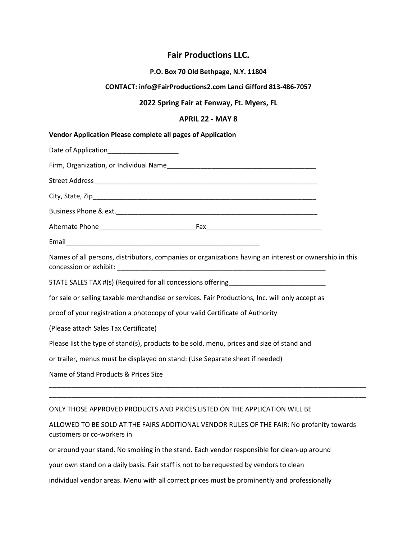# **Fair Productions LLC.**

#### **P.O. Box 70 Old Bethpage, N.Y. 11804**

#### **CONTACT: info@FairProductions2.com Lanci Gifford 813-486-7057**

### **2022 Spring Fair at Fenway, Ft. Myers, FL**

#### **APRIL 22 - MAY 8**

| <b>Vendor Application Please complete all pages of Application</b>                                     |  |
|--------------------------------------------------------------------------------------------------------|--|
| Date of Application______________________                                                              |  |
|                                                                                                        |  |
|                                                                                                        |  |
|                                                                                                        |  |
|                                                                                                        |  |
|                                                                                                        |  |
|                                                                                                        |  |
| Names of all persons, distributors, companies or organizations having an interest or ownership in this |  |
| STATE SALES TAX #(s) (Required for all concessions offering______________________                      |  |
| for sale or selling taxable merchandise or services. Fair Productions, Inc. will only accept as        |  |
| proof of your registration a photocopy of your valid Certificate of Authority                          |  |
| (Please attach Sales Tax Certificate)                                                                  |  |
| Please list the type of stand(s), products to be sold, menu, prices and size of stand and              |  |
| or trailer, menus must be displayed on stand: (Use Separate sheet if needed)                           |  |
| Name of Stand Products & Prices Size                                                                   |  |
|                                                                                                        |  |

## ONLY THOSE APPROVED PRODUCTS AND PRICES LISTED ON THE APPLICATION WILL BE

ALLOWED TO BE SOLD AT THE FAIRS ADDITIONAL VENDOR RULES OF THE FAIR: No profanity towards customers or co-workers in

or around your stand. No smoking in the stand. Each vendor responsible for clean-up around

your own stand on a daily basis. Fair staff is not to be requested by vendors to clean

individual vendor areas. Menu with all correct prices must be prominently and professionally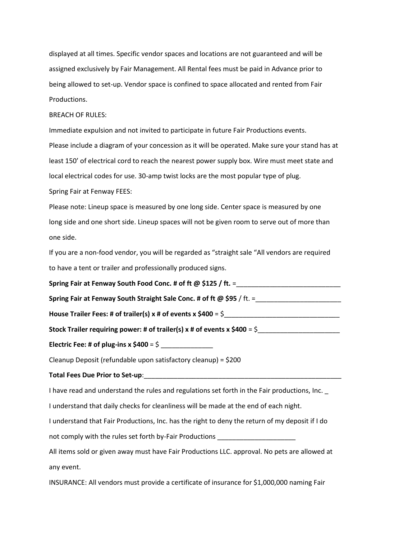displayed at all times. Specific vendor spaces and locations are not guaranteed and will be assigned exclusively by Fair Management. All Rental fees must be paid in Advance prior to being allowed to set-up. Vendor space is confined to space allocated and rented from Fair Productions.

#### BREACH OF RULES:

Immediate expulsion and not invited to participate in future Fair Productions events. Please include a diagram of your concession as it will be operated. Make sure your stand has at least 150' of electrical cord to reach the nearest power supply box. Wire must meet state and local electrical codes for use. 30-amp twist locks are the most popular type of plug.

Spring Fair at Fenway FEES:

Please note: Lineup space is measured by one long side. Center space is measured by one long side and one short side. Lineup spaces will not be given room to serve out of more than one side.

If you are a non-food vendor, you will be regarded as "straight sale "All vendors are required to have a tent or trailer and professionally produced signs.

Spring Fair at Fenway South Food Conc. # of ft @ \$125 / ft. =\_\_\_\_\_\_\_\_\_\_\_\_\_\_\_\_\_\_\_\_

**Spring Fair at Fenway South Straight Sale Conc. # of ft @ \$95** / ft. =\_\_\_\_\_\_\_\_\_\_\_\_\_\_\_\_\_\_\_\_\_\_\_

**House Trailer Fees: # of trailer(s) x # of events x \$400** = \$\_\_\_\_\_\_\_\_\_\_\_\_\_\_\_\_\_\_\_\_\_\_\_\_\_\_\_\_\_\_\_

Stock Trailer requiring power: # of trailer(s)  $x \#$  of events  $x \, \$400 = \$$ 

**Electric Fee: # of plug-ins x**  $$400 = $$ 

Cleanup Deposit (refundable upon satisfactory cleanup) = \$200

**Total Fees Due Prior to Set-up**:\_\_\_\_\_\_\_\_\_\_\_\_\_\_\_\_\_\_\_\_\_\_\_\_\_\_\_\_\_\_\_\_\_\_\_\_\_\_\_\_\_\_\_\_\_\_\_\_\_\_\_\_\_

I have read and understand the rules and regulations set forth in the Fair productions, Inc. \_

I understand that daily checks for cleanliness will be made at the end of each night.

I understand that Fair Productions, Inc. has the right to deny the return of my deposit if I do

not comply with the rules set forth by-Fair Productions \_\_\_\_\_\_\_\_\_\_\_\_\_\_\_\_\_\_\_\_\_\_\_\_

All items sold or given away must have Fair Productions LLC. approval. No pets are allowed at any event.

INSURANCE: All vendors must provide a certificate of insurance for \$1,000,000 naming Fair